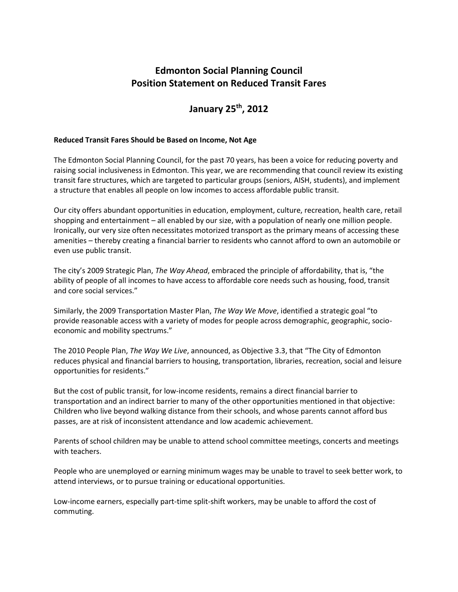## **Edmonton Social Planning Council Position Statement on Reduced Transit Fares**

## **January 25th, 2012**

## **Reduced Transit Fares Should be Based on Income, Not Age**

The Edmonton Social Planning Council, for the past 70 years, has been a voice for reducing poverty and raising social inclusiveness in Edmonton. This year, we are recommending that council review its existing transit fare structures, which are targeted to particular groups (seniors, AISH, students), and implement a structure that enables all people on low incomes to access affordable public transit.

Our city offers abundant opportunities in education, employment, culture, recreation, health care, retail shopping and entertainment – all enabled by our size, with a population of nearly one million people. Ironically, our very size often necessitates motorized transport as the primary means of accessing these amenities – thereby creating a financial barrier to residents who cannot afford to own an automobile or even use public transit.

The city's 2009 Strategic Plan, *The Way Ahead*, embraced the principle of affordability, that is, "the ability of people of all incomes to have access to affordable core needs such as housing, food, transit and core social services."

Similarly, the 2009 Transportation Master Plan, *The Way We Move*, identified a strategic goal "to provide reasonable access with a variety of modes for people across demographic, geographic, socioeconomic and mobility spectrums."

The 2010 People Plan, *The Way We Live*, announced, as Objective 3.3, that "The City of Edmonton reduces physical and financial barriers to housing, transportation, libraries, recreation, social and leisure opportunities for residents."

But the cost of public transit, for low-income residents, remains a direct financial barrier to transportation and an indirect barrier to many of the other opportunities mentioned in that objective: Children who live beyond walking distance from their schools, and whose parents cannot afford bus passes, are at risk of inconsistent attendance and low academic achievement.

Parents of school children may be unable to attend school committee meetings, concerts and meetings with teachers.

People who are unemployed or earning minimum wages may be unable to travel to seek better work, to attend interviews, or to pursue training or educational opportunities.

Low-income earners, especially part-time split-shift workers, may be unable to afford the cost of commuting.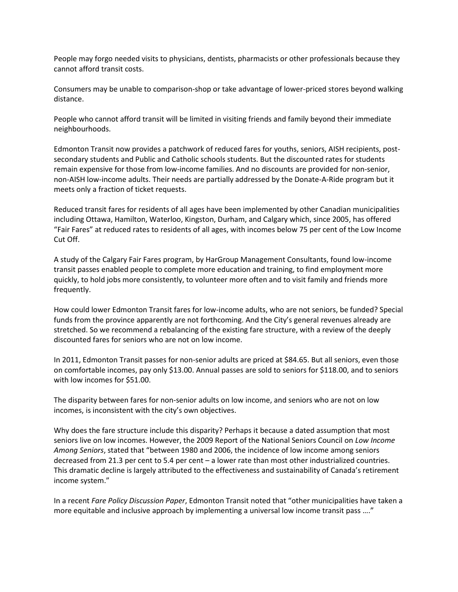People may forgo needed visits to physicians, dentists, pharmacists or other professionals because they cannot afford transit costs.

Consumers may be unable to comparison-shop or take advantage of lower-priced stores beyond walking distance.

People who cannot afford transit will be limited in visiting friends and family beyond their immediate neighbourhoods.

Edmonton Transit now provides a patchwork of reduced fares for youths, seniors, AISH recipients, postsecondary students and Public and Catholic schools students. But the discounted rates for students remain expensive for those from low-income families. And no discounts are provided for non-senior, non-AISH low-income adults. Their needs are partially addressed by the Donate-A-Ride program but it meets only a fraction of ticket requests.

Reduced transit fares for residents of all ages have been implemented by other Canadian municipalities including Ottawa, Hamilton, Waterloo, Kingston, Durham, and Calgary which, since 2005, has offered "Fair Fares" at reduced rates to residents of all ages, with incomes below 75 per cent of the Low Income Cut Off.

A study of the Calgary Fair Fares program, by HarGroup Management Consultants, found low-income transit passes enabled people to complete more education and training, to find employment more quickly, to hold jobs more consistently, to volunteer more often and to visit family and friends more frequently.

How could lower Edmonton Transit fares for low-income adults, who are not seniors, be funded? Special funds from the province apparently are not forthcoming. And the City's general revenues already are stretched. So we recommend a rebalancing of the existing fare structure, with a review of the deeply discounted fares for seniors who are not on low income.

In 2011, Edmonton Transit passes for non-senior adults are priced at \$84.65. But all seniors, even those on comfortable incomes, pay only \$13.00. Annual passes are sold to seniors for \$118.00, and to seniors with low incomes for \$51.00.

The disparity between fares for non-senior adults on low income, and seniors who are not on low incomes, is inconsistent with the city's own objectives.

Why does the fare structure include this disparity? Perhaps it because a dated assumption that most seniors live on low incomes. However, the 2009 Report of the National Seniors Council on *Low Income Among Seniors*, stated that "between 1980 and 2006, the incidence of low income among seniors decreased from 21.3 per cent to 5.4 per cent – a lower rate than most other industrialized countries. This dramatic decline is largely attributed to the effectiveness and sustainability of Canada's retirement income system."

In a recent *Fare Policy Discussion Paper*, Edmonton Transit noted that "other municipalities have taken a more equitable and inclusive approach by implementing a universal low income transit pass …."